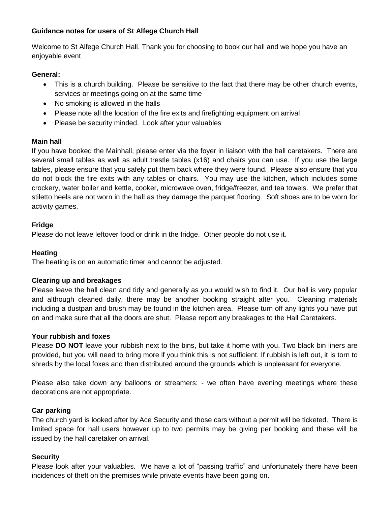# **Guidance notes for users of St Alfege Church Hall**

Welcome to St Alfege Church Hall. Thank you for choosing to book our hall and we hope you have an enjoyable event

#### **General:**

- This is a church building. Please be sensitive to the fact that there may be other church events, services or meetings going on at the same time
- No smoking is allowed in the halls
- Please note all the location of the fire exits and firefighting equipment on arrival
- Please be security minded. Look after your valuables

#### **Main hall**

If you have booked the Mainhall, please enter via the foyer in liaison with the hall caretakers. There are several small tables as well as adult trestle tables (x16) and chairs you can use. If you use the large tables, please ensure that you safely put them back where they were found. Please also ensure that you do not block the fire exits with any tables or chairs. You may use the kitchen, which includes some crockery, water boiler and kettle, cooker, microwave oven, fridge/freezer, and tea towels. We prefer that stiletto heels are not worn in the hall as they damage the parquet flooring. Soft shoes are to be worn for activity games.

# **Fridge**

Please do not leave leftover food or drink in the fridge. Other people do not use it.

# **Heating**

The heating is on an automatic timer and cannot be adjusted.

# **Clearing up and breakages**

Please leave the hall clean and tidy and generally as you would wish to find it. Our hall is very popular and although cleaned daily, there may be another booking straight after you. Cleaning materials including a dustpan and brush may be found in the kitchen area. Please turn off any lights you have put on and make sure that all the doors are shut. Please report any breakages to the Hall Caretakers.

# **Your rubbish and foxes**

Please **DO NOT** leave your rubbish next to the bins, but take it home with you. Two black bin liners are provided, but you will need to bring more if you think this is not sufficient. If rubbish is left out, it is torn to shreds by the local foxes and then distributed around the grounds which is unpleasant for everyone.

Please also take down any balloons or streamers: - we often have evening meetings where these decorations are not appropriate.

# **Car parking**

The church yard is looked after by Ace Security and those cars without a permit will be ticketed. There is limited space for hall users however up to two permits may be giving per booking and these will be issued by the hall caretaker on arrival.

# **Security**

Please look after your valuables. We have a lot of "passing traffic" and unfortunately there have been incidences of theft on the premises while private events have been going on.